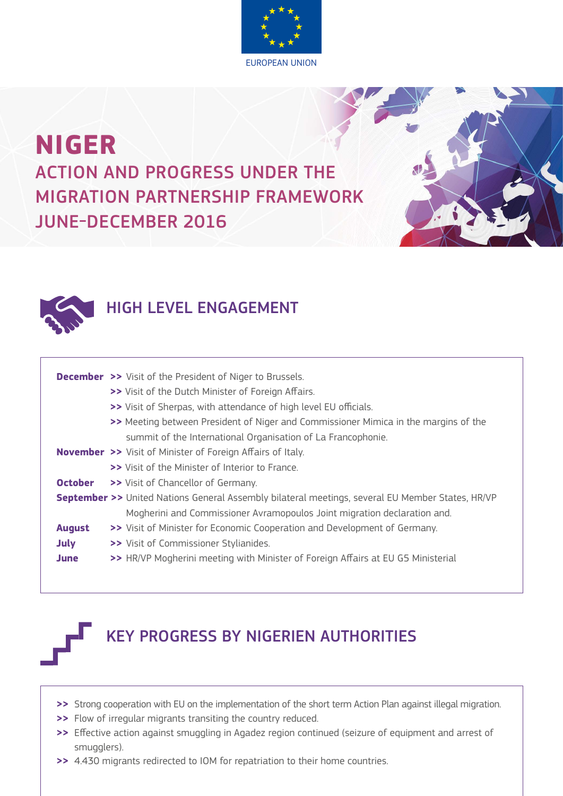

## **NIGER** ACTION AND PROGRESS UNDER THE MIGRATION PARTNERSHIP FRAMEWORK JUNE-DECEMBER 2016



## HIGH LEVEL ENGAGEMENT

|               | <b>December &gt;&gt;</b> Visit of the President of Niger to Brussels.                                         |
|---------------|---------------------------------------------------------------------------------------------------------------|
|               | >> Visit of the Dutch Minister of Foreign Affairs.                                                            |
|               | >> Visit of Sherpas, with attendance of high level EU officials.                                              |
|               | >> Meeting between President of Niger and Commissioner Mimica in the margins of the                           |
|               | summit of the International Organisation of La Francophonie.                                                  |
|               | <b>November &gt;&gt;</b> Visit of Minister of Foreign Affairs of Italy.                                       |
|               | >> Visit of the Minister of Interior to France.                                                               |
| October       | >> Visit of Chancellor of Germany.                                                                            |
|               | <b>September &gt;&gt;</b> United Nations General Assembly bilateral meetings, several EU Member States, HR/VP |
|               | Mogherini and Commissioner Avramopoulos Joint migration declaration and.                                      |
| <b>August</b> | >> Visit of Minister for Economic Cooperation and Development of Germany.                                     |
| <b>July</b>   | >> Visit of Commissioner Stylianides.                                                                         |
| June          | >> HR/VP Mogherini meeting with Minister of Foreign Affairs at EU G5 Ministerial                              |
|               |                                                                                                               |



## KEY PROGRESS BY NIGERIEN AUTHORITIES

- **>>** Strong cooperation with EU on the implementation of the short term Action Plan against illegal migration.
- **>>** Flow of irregular migrants transiting the country reduced.
- **>>** Effective action against smuggling in Agadez region continued (seizure of equipment and arrest of smugglers).
- **>>** 4.430 migrants redirected to IOM for repatriation to their home countries.